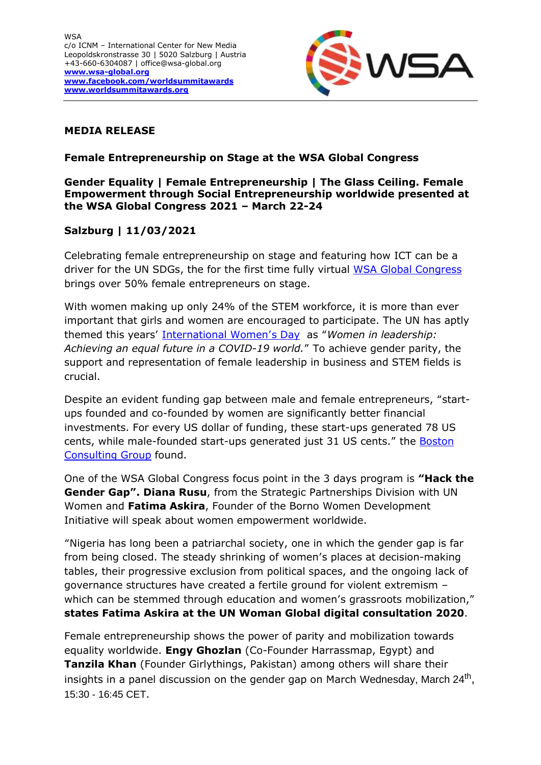

# **MEDIA RELEASE**

## **Female Entrepreneurship on Stage at the WSA Global Congress**

### **Gender Equality | Female Entrepreneurship | The Glass Ceiling. Female Empowerment through Social Entrepreneurship worldwide presented at the WSA Global Congress 2021 – March 22-24**

# **Salzburg | 11/03/2021**

Celebrating female entrepreneurship on stage and featuring how ICT can be a driver for the UN SDGs, the for the first time fully virtual [WSA Global Congress](https://wsa-global.org/wsa-global-congress-2021/) brings over 50% female entrepreneurs on stage.

With women making up only 24% of the STEM workforce, it is more than ever important that girls and women are encouraged to participate. The UN has aptly themed this years' [International Women's Day](https://un-women.medium.com/claiming-womens-space-in-leadership-6acc13946e2) as "*Women in leadership: Achieving an equal future in a COVID-19 world.*" To achieve gender parity, the support and representation of female leadership in business and STEM fields is crucial.

Despite an evident funding gap between male and female entrepreneurs, "startups founded and co-founded by women are significantly better financial investments. For every US dollar of funding, these start-ups generated 78 US cents, while male-founded start-ups generated just 31 US cents." the [Boston](https://www.bcg.com/en-us/publications/2018/why-women-owned-startups-are-better-bet.aspx)  [Consulting Group](https://www.bcg.com/en-us/publications/2018/why-women-owned-startups-are-better-bet.aspx) found.

One of the WSA Global Congress focus point in the 3 days program is **"Hack the Gender Gap". Diana Rusu**, from the Strategic Partnerships Division with UN Women and **Fatima Askira**, Founder of the Borno Women Development Initiative will speak about women empowerment worldwide.

"Nigeria has long been a patriarchal society, one in which the gender gap is far from being closed. The steady shrinking of women's places at decision-making tables, their progressive exclusion from political spaces, and the ongoing lack of governance structures have created a fertile ground for violent extremism – which can be stemmed through education and women's grassroots mobilization," **states Fatima Askira at the UN Woman Global digital consultation 2020**.

Female entrepreneurship shows the power of parity and mobilization towards equality worldwide. **Engy Ghozlan** (Co-Founder Harrassmap, Egypt) and **Tanzila Khan** (Founder Girlythings, Pakistan) among others will share their insights in a panel discussion on the gender gap on March Wednesday, March 24<sup>th</sup>, 15:30 - 16:45 CET.